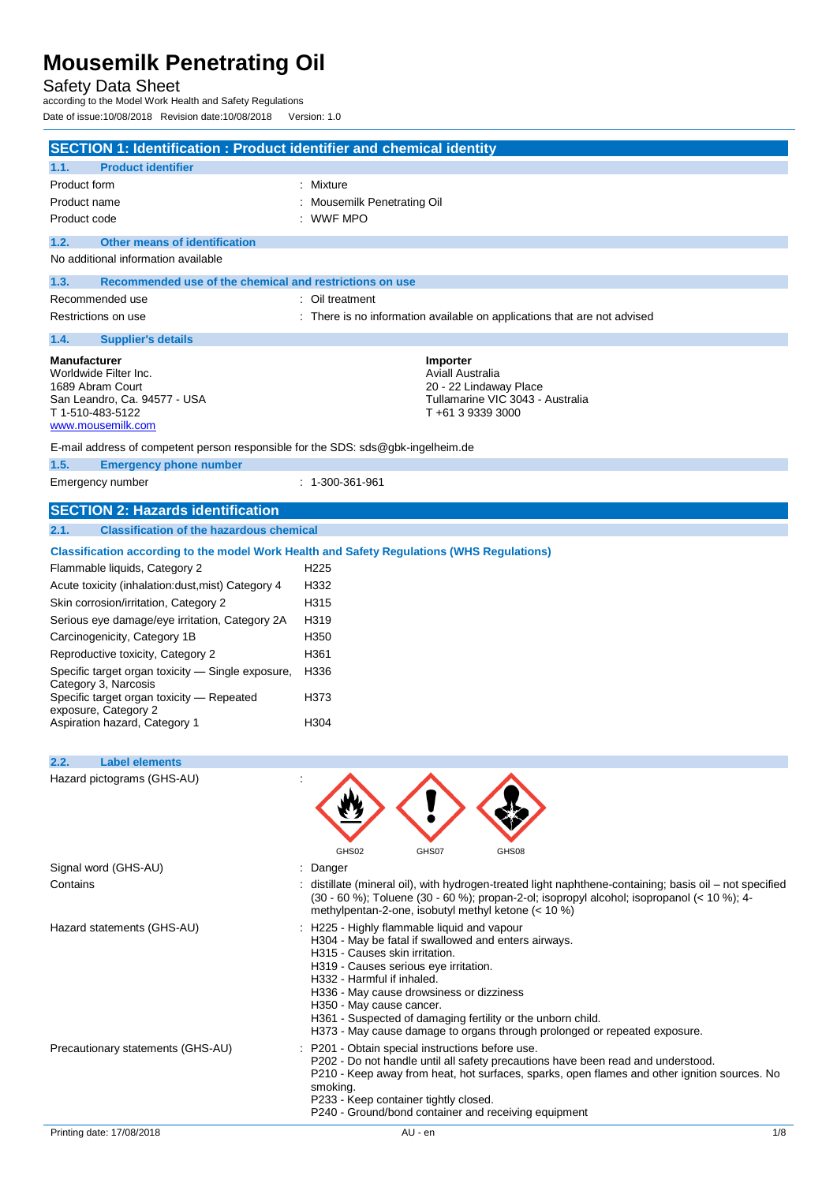## Safety Data Sheet

according to the Model Work Health and Safety Regulations Date of issue:10/08/2018 Revision date:10/08/2018 Version: 1.0

| <b>SECTION 1: Identification : Product identifier and chemical identity</b>      |                                                                                                                                                                                                       |
|----------------------------------------------------------------------------------|-------------------------------------------------------------------------------------------------------------------------------------------------------------------------------------------------------|
| <b>Product identifier</b><br>1.1.                                                |                                                                                                                                                                                                       |
| Product form                                                                     | : Mixture                                                                                                                                                                                             |
| Product name                                                                     | Mousemilk Penetrating Oil                                                                                                                                                                             |
| Product code                                                                     | <b>WWF MPO</b>                                                                                                                                                                                        |
| <b>Other means of identification</b><br>1.2.                                     |                                                                                                                                                                                                       |
| No additional information available                                              |                                                                                                                                                                                                       |
| Recommended use of the chemical and restrictions on use<br>1.3.                  |                                                                                                                                                                                                       |
| Recommended use                                                                  | : Oil treatment                                                                                                                                                                                       |
| Restrictions on use                                                              | : There is no information available on applications that are not advised                                                                                                                              |
| 1.4.<br><b>Supplier's details</b>                                                |                                                                                                                                                                                                       |
|                                                                                  |                                                                                                                                                                                                       |
| <b>Manufacturer</b><br>Worldwide Filter Inc.                                     | Importer<br>Aviall Australia                                                                                                                                                                          |
| 1689 Abram Court                                                                 | 20 - 22 Lindaway Place                                                                                                                                                                                |
| San Leandro, Ca. 94577 - USA                                                     | Tullamarine VIC 3043 - Australia                                                                                                                                                                      |
| T 1-510-483-5122<br>www.mousemilk.com                                            | T+61 3 9339 3000                                                                                                                                                                                      |
| E-mail address of competent person responsible for the SDS: sds@gbk-ingelheim.de |                                                                                                                                                                                                       |
| 1.5.<br><b>Emergency phone number</b>                                            |                                                                                                                                                                                                       |
| Emergency number                                                                 | $: 1 - 300 - 361 - 961$                                                                                                                                                                               |
|                                                                                  |                                                                                                                                                                                                       |
| <b>SECTION 2: Hazards identification</b>                                         |                                                                                                                                                                                                       |
| <b>Classification of the hazardous chemical</b><br>2.1.                          |                                                                                                                                                                                                       |
|                                                                                  | Classification according to the model Work Health and Safety Regulations (WHS Regulations)                                                                                                            |
| Flammable liquids, Category 2                                                    | H <sub>225</sub>                                                                                                                                                                                      |
| Acute toxicity (inhalation: dust, mist) Category 4                               | H332                                                                                                                                                                                                  |
| Skin corrosion/irritation, Category 2                                            | H315                                                                                                                                                                                                  |
| Serious eye damage/eye irritation, Category 2A                                   | H319                                                                                                                                                                                                  |
| Carcinogenicity, Category 1B                                                     | H350                                                                                                                                                                                                  |
| Reproductive toxicity, Category 2                                                | H361                                                                                                                                                                                                  |
| Specific target organ toxicity - Single exposure,                                | H336                                                                                                                                                                                                  |
| Category 3, Narcosis                                                             |                                                                                                                                                                                                       |
| Specific target organ toxicity - Repeated                                        | H373                                                                                                                                                                                                  |
| exposure, Category 2                                                             |                                                                                                                                                                                                       |
| Aspiration hazard, Category 1                                                    | H304                                                                                                                                                                                                  |
| 2.2.                                                                             |                                                                                                                                                                                                       |
| <b>Label elements</b><br>Hazard pictograms (GHS-AU)                              |                                                                                                                                                                                                       |
|                                                                                  |                                                                                                                                                                                                       |
|                                                                                  |                                                                                                                                                                                                       |
|                                                                                  |                                                                                                                                                                                                       |
|                                                                                  |                                                                                                                                                                                                       |
|                                                                                  | GHS02<br>GHS07<br>GHS08                                                                                                                                                                               |
| Signal word (GHS-AU)                                                             | Danger                                                                                                                                                                                                |
| Contains                                                                         | : distillate (mineral oil), with hydrogen-treated light naphthene-containing; basis oil – not specified<br>(30 - 60 %); Toluene (30 - 60 %); propan-2-ol; isopropyl alcohol; isopropanol (< 10 %); 4- |
|                                                                                  | methylpentan-2-one, isobutyl methyl ketone (< 10 %)                                                                                                                                                   |
| Hazard statements (GHS-AU)                                                       | : H225 - Highly flammable liquid and vapour                                                                                                                                                           |
|                                                                                  | H304 - May be fatal if swallowed and enters airways.                                                                                                                                                  |
|                                                                                  | H315 - Causes skin irritation.                                                                                                                                                                        |
|                                                                                  | H319 - Causes serious eye irritation.<br>H332 - Harmful if inhaled.                                                                                                                                   |
|                                                                                  | H336 - May cause drowsiness or dizziness                                                                                                                                                              |
|                                                                                  | H350 - May cause cancer.                                                                                                                                                                              |
|                                                                                  | H361 - Suspected of damaging fertility or the unborn child.                                                                                                                                           |
|                                                                                  | H373 - May cause damage to organs through prolonged or repeated exposure.                                                                                                                             |
| Precautionary statements (GHS-AU)                                                | : P201 - Obtain special instructions before use.                                                                                                                                                      |
|                                                                                  | P202 - Do not handle until all safety precautions have been read and understood.<br>P210 - Keep away from heat, hot surfaces, sparks, open flames and other ignition sources. No                      |
|                                                                                  | smoking.                                                                                                                                                                                              |
|                                                                                  | P233 - Keep container tightly closed.                                                                                                                                                                 |
|                                                                                  | P240 - Ground/bond container and receiving equipment                                                                                                                                                  |
| Printing date: 17/08/2018                                                        | AU - en<br>1/8                                                                                                                                                                                        |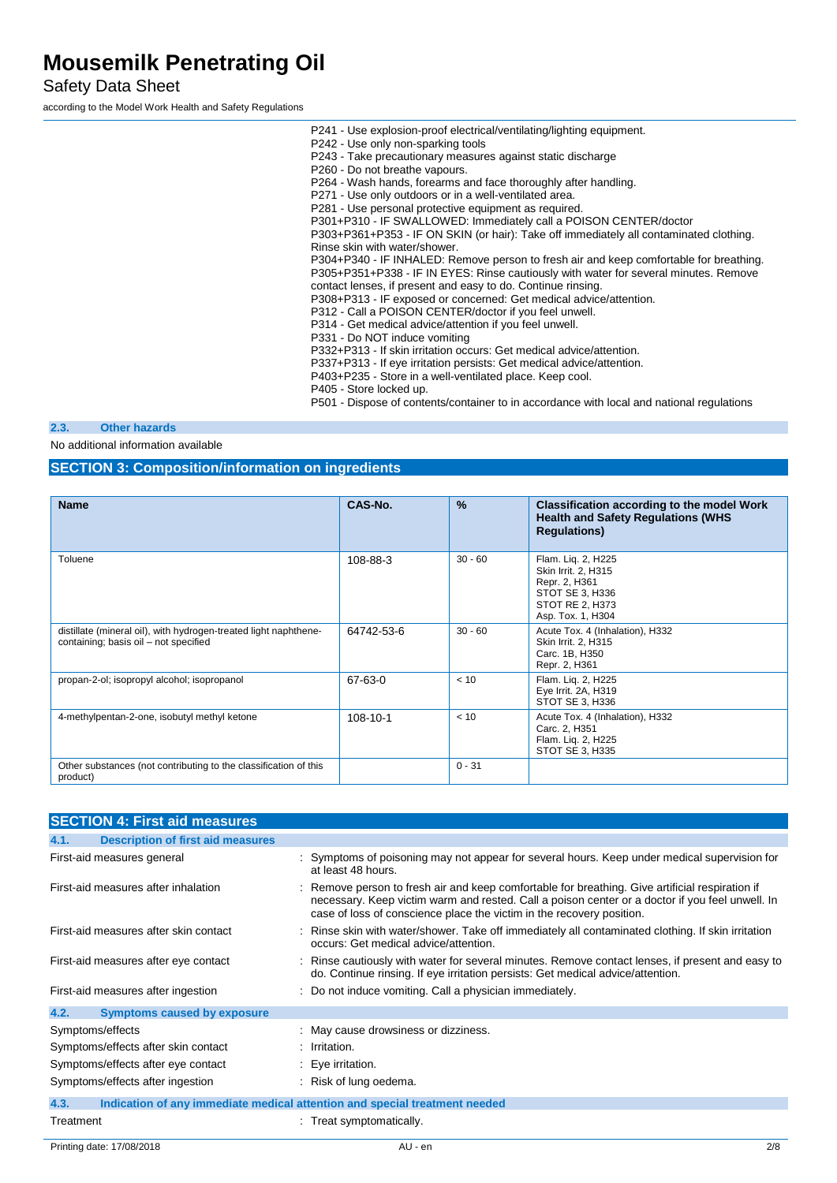Safety Data Sheet

according to the Model Work Health and Safety Regulations

P242 - Use only non-sparking tools P243 - Take precautionary measures against static discharge P260 - Do not breathe vapours. P264 - Wash hands, forearms and face thoroughly after handling. P271 - Use only outdoors or in a well-ventilated area. P281 - Use personal protective equipment as required. P301+P310 - IF SWALLOWED: Immediately call a POISON CENTER/doctor P303+P361+P353 - IF ON SKIN (or hair): Take off immediately all contaminated clothing. Rinse skin with water/shower. P304+P340 - IF INHALED: Remove person to fresh air and keep comfortable for breathing. P305+P351+P338 - IF IN EYES: Rinse cautiously with water for several minutes. Remove contact lenses, if present and easy to do. Continue rinsing. P308+P313 - IF exposed or concerned: Get medical advice/attention. P312 - Call a POISON CENTER/doctor if you feel unwell.

P241 - Use explosion-proof electrical/ventilating/lighting equipment.

P314 - Get medical advice/attention if you feel unwell.

P331 - Do NOT induce vomiting

P332+P313 - If skin irritation occurs: Get medical advice/attention.

P337+P313 - If eye irritation persists: Get medical advice/attention.

P403+P235 - Store in a well-ventilated place. Keep cool.

P405 - Store locked up.

P501 - Dispose of contents/container to in accordance with local and national regulations

#### **2.3. Other hazards**

No additional information available

#### **SECTION 3: Composition/information on ingredients**

| <b>Name</b>                                                                                               | CAS-No.    | $\frac{9}{6}$ | Classification according to the model Work<br><b>Health and Safety Regulations (WHS</b><br><b>Regulations</b> )       |
|-----------------------------------------------------------------------------------------------------------|------------|---------------|-----------------------------------------------------------------------------------------------------------------------|
| Toluene                                                                                                   | 108-88-3   | $30 - 60$     | Flam. Lig. 2, H225<br>Skin Irrit. 2, H315<br>Repr. 2, H361<br>STOT SE 3, H336<br>STOT RE 2, H373<br>Asp. Tox. 1, H304 |
| distillate (mineral oil), with hydrogen-treated light naphthene-<br>containing; basis oil - not specified | 64742-53-6 | $30 - 60$     | Acute Tox. 4 (Inhalation), H332<br>Skin Irrit. 2, H315<br>Carc. 1B, H350<br>Repr. 2, H361                             |
| propan-2-ol; isopropyl alcohol; isopropanol                                                               | 67-63-0    | < 10          | Flam. Lig. 2, H225<br>Eye Irrit. 2A, H319<br>STOT SE 3, H336                                                          |
| 4-methylpentan-2-one, isobutyl methyl ketone                                                              | 108-10-1   | < 10          | Acute Tox. 4 (Inhalation), H332<br>Carc. 2, H351<br>Flam. Lig. 2, H225<br>STOT SE 3, H335                             |
| Other substances (not contributing to the classification of this<br>product)                              |            | $0 - 31$      |                                                                                                                       |

| <b>SECTION 4: First aid measures</b>             |                                                                                                                                                                                                                                                                             |
|--------------------------------------------------|-----------------------------------------------------------------------------------------------------------------------------------------------------------------------------------------------------------------------------------------------------------------------------|
| <b>Description of first aid measures</b><br>4.1. |                                                                                                                                                                                                                                                                             |
| First-aid measures general                       | : Symptoms of poisoning may not appear for several hours. Keep under medical supervision for<br>at least 48 hours.                                                                                                                                                          |
| First-aid measures after inhalation              | : Remove person to fresh air and keep comfortable for breathing. Give artificial respiration if<br>necessary. Keep victim warm and rested. Call a poison center or a doctor if you feel unwell. In<br>case of loss of conscience place the victim in the recovery position. |
| First-aid measures after skin contact            | : Rinse skin with water/shower. Take off immediately all contaminated clothing. If skin irritation<br>occurs: Get medical advice/attention.                                                                                                                                 |
| First-aid measures after eye contact             | : Rinse cautiously with water for several minutes. Remove contact lenses, if present and easy to<br>do. Continue rinsing. If eye irritation persists: Get medical advice/attention.                                                                                         |
| First-aid measures after ingestion               | : Do not induce vomiting. Call a physician immediately.                                                                                                                                                                                                                     |
| 4.2.<br><b>Symptoms caused by exposure</b>       |                                                                                                                                                                                                                                                                             |
| Symptoms/effects                                 | : May cause drowsiness or dizziness.                                                                                                                                                                                                                                        |
| Symptoms/effects after skin contact              | : Irritation.                                                                                                                                                                                                                                                               |
| Symptoms/effects after eye contact               | $\therefore$ Eye irritation.                                                                                                                                                                                                                                                |
| Symptoms/effects after ingestion                 | : Risk of lung oedema.                                                                                                                                                                                                                                                      |
| 4.3.                                             | Indication of any immediate medical attention and special treatment needed                                                                                                                                                                                                  |
| Treatment                                        | : Treat symptomatically.                                                                                                                                                                                                                                                    |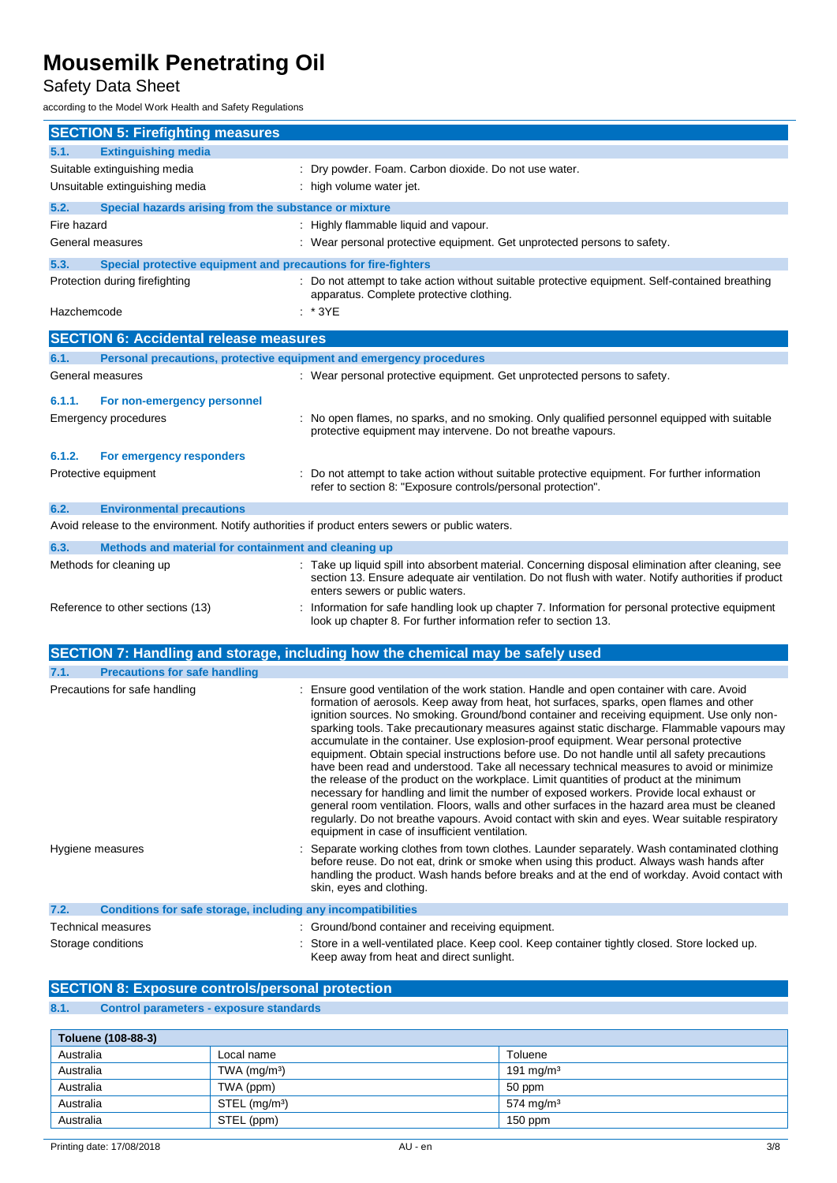## Safety Data Sheet

according to the Model Work Health and Safety Regulations

| <b>SECTION 5: Firefighting measures</b>                                                         |                                                                                                                                                                                                                                                                                                                                                                                                                                                                                                                                                                                                                                                                                                                                                                                                                                                                                                                                                                                                                                                                                                                   |  |  |  |
|-------------------------------------------------------------------------------------------------|-------------------------------------------------------------------------------------------------------------------------------------------------------------------------------------------------------------------------------------------------------------------------------------------------------------------------------------------------------------------------------------------------------------------------------------------------------------------------------------------------------------------------------------------------------------------------------------------------------------------------------------------------------------------------------------------------------------------------------------------------------------------------------------------------------------------------------------------------------------------------------------------------------------------------------------------------------------------------------------------------------------------------------------------------------------------------------------------------------------------|--|--|--|
| <b>Extinguishing media</b><br>5.1.                                                              |                                                                                                                                                                                                                                                                                                                                                                                                                                                                                                                                                                                                                                                                                                                                                                                                                                                                                                                                                                                                                                                                                                                   |  |  |  |
| Suitable extinguishing media                                                                    | : Dry powder. Foam. Carbon dioxide. Do not use water.                                                                                                                                                                                                                                                                                                                                                                                                                                                                                                                                                                                                                                                                                                                                                                                                                                                                                                                                                                                                                                                             |  |  |  |
| Unsuitable extinguishing media                                                                  | : high volume water jet.                                                                                                                                                                                                                                                                                                                                                                                                                                                                                                                                                                                                                                                                                                                                                                                                                                                                                                                                                                                                                                                                                          |  |  |  |
| Special hazards arising from the substance or mixture<br>5.2.                                   |                                                                                                                                                                                                                                                                                                                                                                                                                                                                                                                                                                                                                                                                                                                                                                                                                                                                                                                                                                                                                                                                                                                   |  |  |  |
| Fire hazard                                                                                     | : Highly flammable liquid and vapour.                                                                                                                                                                                                                                                                                                                                                                                                                                                                                                                                                                                                                                                                                                                                                                                                                                                                                                                                                                                                                                                                             |  |  |  |
| General measures                                                                                | : Wear personal protective equipment. Get unprotected persons to safety.                                                                                                                                                                                                                                                                                                                                                                                                                                                                                                                                                                                                                                                                                                                                                                                                                                                                                                                                                                                                                                          |  |  |  |
| 5.3.<br>Special protective equipment and precautions for fire-fighters                          |                                                                                                                                                                                                                                                                                                                                                                                                                                                                                                                                                                                                                                                                                                                                                                                                                                                                                                                                                                                                                                                                                                                   |  |  |  |
| Protection during firefighting                                                                  | : Do not attempt to take action without suitable protective equipment. Self-contained breathing<br>apparatus. Complete protective clothing.                                                                                                                                                                                                                                                                                                                                                                                                                                                                                                                                                                                                                                                                                                                                                                                                                                                                                                                                                                       |  |  |  |
| Hazchemcode                                                                                     | $*$ 3YE                                                                                                                                                                                                                                                                                                                                                                                                                                                                                                                                                                                                                                                                                                                                                                                                                                                                                                                                                                                                                                                                                                           |  |  |  |
| <b>SECTION 6: Accidental release measures</b>                                                   |                                                                                                                                                                                                                                                                                                                                                                                                                                                                                                                                                                                                                                                                                                                                                                                                                                                                                                                                                                                                                                                                                                                   |  |  |  |
| Personal precautions, protective equipment and emergency procedures<br>6.1.                     |                                                                                                                                                                                                                                                                                                                                                                                                                                                                                                                                                                                                                                                                                                                                                                                                                                                                                                                                                                                                                                                                                                                   |  |  |  |
| General measures                                                                                | : Wear personal protective equipment. Get unprotected persons to safety.                                                                                                                                                                                                                                                                                                                                                                                                                                                                                                                                                                                                                                                                                                                                                                                                                                                                                                                                                                                                                                          |  |  |  |
|                                                                                                 |                                                                                                                                                                                                                                                                                                                                                                                                                                                                                                                                                                                                                                                                                                                                                                                                                                                                                                                                                                                                                                                                                                                   |  |  |  |
| 6.1.1.<br>For non-emergency personnel<br>Emergency procedures                                   | No open flames, no sparks, and no smoking. Only qualified personnel equipped with suitable                                                                                                                                                                                                                                                                                                                                                                                                                                                                                                                                                                                                                                                                                                                                                                                                                                                                                                                                                                                                                        |  |  |  |
|                                                                                                 | protective equipment may intervene. Do not breathe vapours.                                                                                                                                                                                                                                                                                                                                                                                                                                                                                                                                                                                                                                                                                                                                                                                                                                                                                                                                                                                                                                                       |  |  |  |
| 6.1.2.<br>For emergency responders                                                              |                                                                                                                                                                                                                                                                                                                                                                                                                                                                                                                                                                                                                                                                                                                                                                                                                                                                                                                                                                                                                                                                                                                   |  |  |  |
| Protective equipment                                                                            | Do not attempt to take action without suitable protective equipment. For further information<br>refer to section 8: "Exposure controls/personal protection".                                                                                                                                                                                                                                                                                                                                                                                                                                                                                                                                                                                                                                                                                                                                                                                                                                                                                                                                                      |  |  |  |
| 6.2.<br><b>Environmental precautions</b>                                                        |                                                                                                                                                                                                                                                                                                                                                                                                                                                                                                                                                                                                                                                                                                                                                                                                                                                                                                                                                                                                                                                                                                                   |  |  |  |
| Avoid release to the environment. Notify authorities if product enters sewers or public waters. |                                                                                                                                                                                                                                                                                                                                                                                                                                                                                                                                                                                                                                                                                                                                                                                                                                                                                                                                                                                                                                                                                                                   |  |  |  |
| 6.3.<br>Methods and material for containment and cleaning up                                    |                                                                                                                                                                                                                                                                                                                                                                                                                                                                                                                                                                                                                                                                                                                                                                                                                                                                                                                                                                                                                                                                                                                   |  |  |  |
| Methods for cleaning up                                                                         | : Take up liquid spill into absorbent material. Concerning disposal elimination after cleaning, see<br>section 13. Ensure adequate air ventilation. Do not flush with water. Notify authorities if product<br>enters sewers or public waters.                                                                                                                                                                                                                                                                                                                                                                                                                                                                                                                                                                                                                                                                                                                                                                                                                                                                     |  |  |  |
| Reference to other sections (13)                                                                | Information for safe handling look up chapter 7. Information for personal protective equipment<br>look up chapter 8. For further information refer to section 13.                                                                                                                                                                                                                                                                                                                                                                                                                                                                                                                                                                                                                                                                                                                                                                                                                                                                                                                                                 |  |  |  |
|                                                                                                 | SECTION 7: Handling and storage, including how the chemical may be safely used                                                                                                                                                                                                                                                                                                                                                                                                                                                                                                                                                                                                                                                                                                                                                                                                                                                                                                                                                                                                                                    |  |  |  |
| <b>Precautions for safe handling</b><br>7.1.                                                    |                                                                                                                                                                                                                                                                                                                                                                                                                                                                                                                                                                                                                                                                                                                                                                                                                                                                                                                                                                                                                                                                                                                   |  |  |  |
| Precautions for safe handling                                                                   | Ensure good ventilation of the work station. Handle and open container with care. Avoid<br>formation of aerosols. Keep away from heat, hot surfaces, sparks, open flames and other<br>ignition sources. No smoking. Ground/bond container and receiving equipment. Use only non-<br>sparking tools. Take precautionary measures against static discharge. Flammable vapours may<br>accumulate in the container. Use explosion-proof equipment. Wear personal protective<br>equipment. Obtain special instructions before use. Do not handle until all safety precautions<br>have been read and understood. Take all necessary technical measures to avoid or minimize<br>the release of the product on the workplace. Limit quantities of product at the minimum<br>necessary for handling and limit the number of exposed workers. Provide local exhaust or<br>general room ventilation. Floors, walls and other surfaces in the hazard area must be cleaned<br>regularly. Do not breathe vapours. Avoid contact with skin and eyes. Wear suitable respiratory<br>equipment in case of insufficient ventilation. |  |  |  |
| Hygiene measures                                                                                | Separate working clothes from town clothes. Launder separately. Wash contaminated clothing<br>before reuse. Do not eat, drink or smoke when using this product. Always wash hands after<br>handling the product. Wash hands before breaks and at the end of workday. Avoid contact with<br>skin, eyes and clothing.                                                                                                                                                                                                                                                                                                                                                                                                                                                                                                                                                                                                                                                                                                                                                                                               |  |  |  |
| 7.2.<br>Conditions for safe storage, including any incompatibilities                            |                                                                                                                                                                                                                                                                                                                                                                                                                                                                                                                                                                                                                                                                                                                                                                                                                                                                                                                                                                                                                                                                                                                   |  |  |  |
| <b>Technical measures</b>                                                                       | : Ground/bond container and receiving equipment.                                                                                                                                                                                                                                                                                                                                                                                                                                                                                                                                                                                                                                                                                                                                                                                                                                                                                                                                                                                                                                                                  |  |  |  |
| Storage conditions                                                                              | : Store in a well-ventilated place. Keep cool. Keep container tightly closed. Store locked up.                                                                                                                                                                                                                                                                                                                                                                                                                                                                                                                                                                                                                                                                                                                                                                                                                                                                                                                                                                                                                    |  |  |  |

**SECTION 8: Exposure controls/personal protection**

#### **8.1. Control parameters - exposure standards**

| Toluene (108-88-3) |                           |                      |  |
|--------------------|---------------------------|----------------------|--|
| Australia          | Local name                | Toluene              |  |
| Australia          | TWA $(mq/m3)$             | 191 mg/m $3$         |  |
| Australia          | TWA (ppm)                 | 50 ppm               |  |
| Australia          | STEL (mg/m <sup>3</sup> ) | $574 \text{ mg/m}^3$ |  |
| Australia          | STEL (ppm)                | $150$ ppm            |  |

Keep away from heat and direct sunlight.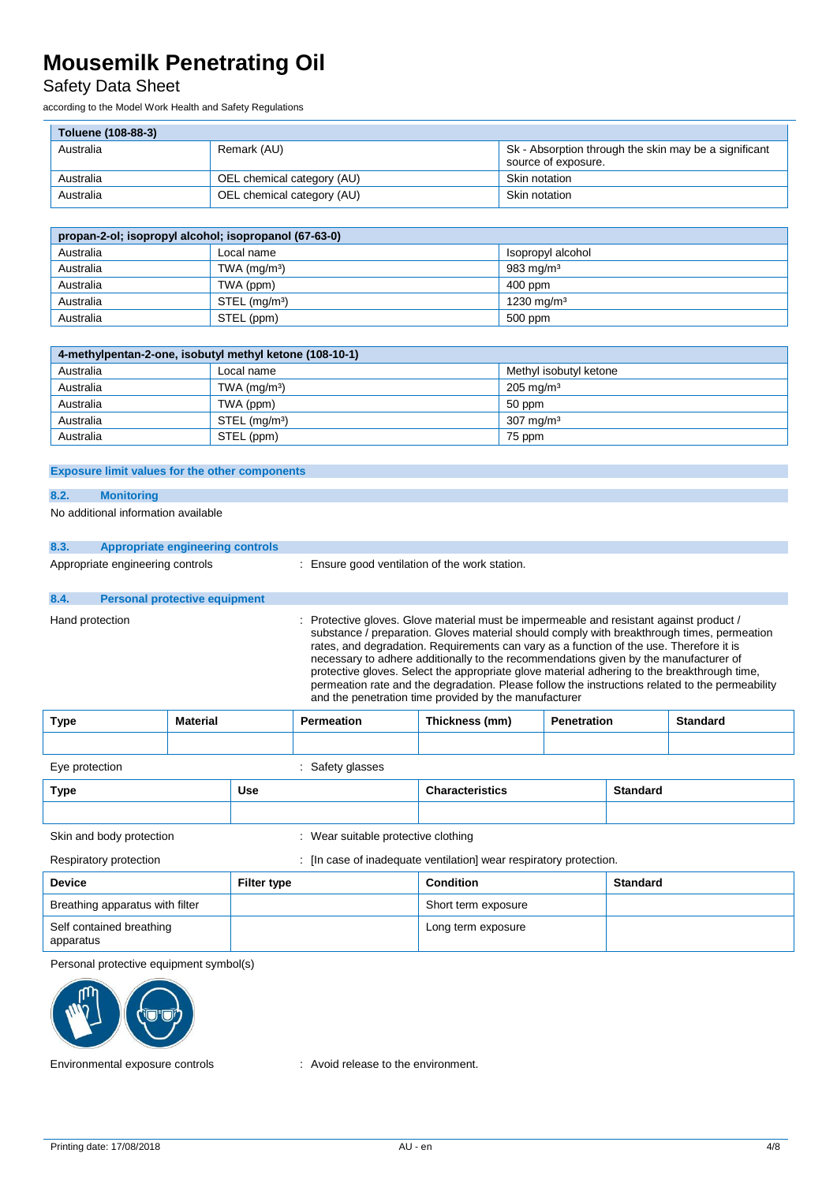## Safety Data Sheet

according to the Model Work Health and Safety Regulations

| Toluene (108-88-3) |                            |                                                       |
|--------------------|----------------------------|-------------------------------------------------------|
| Australia          | Remark (AU)                | Sk - Absorption through the skin may be a significant |
|                    |                            | source of exposure.                                   |
| Australia          | OEL chemical category (AU) | Skin notation                                         |
| Australia          | OEL chemical category (AU) | Skin notation                                         |

| propan-2-ol; isopropyl alcohol; isopropanol (67-63-0) |                           |                  |  |
|-------------------------------------------------------|---------------------------|------------------|--|
| Australia                                             | Local name                | sopropyl alcohol |  |
| Australia                                             | TWA $(mq/m3)$             | 983 mg/m $3$     |  |
| Australia                                             | TWA (ppm)                 | 400 ppm          |  |
| Australia                                             | STEL (mg/m <sup>3</sup> ) | 1230 mg/m $3$    |  |
| Australia                                             | STEL (ppm)                | 500 ppm          |  |

| 4-methylpentan-2-one, isobutyl methyl ketone (108-10-1) |                           |                         |  |
|---------------------------------------------------------|---------------------------|-------------------------|--|
| Australia                                               | Local name                | Methyl isobutyl ketone  |  |
| Australia                                               | TWA $(mq/m3)$             | $205 \,\mathrm{mq/m^3}$ |  |
| Australia                                               | TWA (ppm)                 | 50 ppm                  |  |
| Australia                                               | STEL (mg/m <sup>3</sup> ) | $307 \text{ mg/m}^3$    |  |
| Australia                                               | STEL (ppm)                | 75 ppm                  |  |

#### **Exposure limit values for the other components**

#### **8.2. Monitoring**

No additional information available

# **8.3. Appropriate engineering controls**

Appropriate engineering controls : Ensure good ventilation of the work station.

# **8.4. Personal protective equipment**

Hand protection : Protective gloves. Glove material must be impermeable and resistant against product / substance / preparation. Gloves material should comply with breakthrough times, permeation rates, and degradation. Requirements can vary as a function of the use. Therefore it is necessary to adhere additionally to the recommendations given by the manufacturer of protective gloves. Select the appropriate glove material adhering to the breakthrough time, permeation rate and the degradation. Please follow the instructions related to the permeability and the penetration time provided by the manufacturer

| <b>Type</b>                                                                                  | <b>Material</b> |                    | <b>Permeation</b> | Thickness (mm)<br><b>Penetration</b> |  |                 | <b>Standard</b> |
|----------------------------------------------------------------------------------------------|-----------------|--------------------|-------------------|--------------------------------------|--|-----------------|-----------------|
|                                                                                              |                 |                    |                   |                                      |  |                 |                 |
| Eye protection                                                                               |                 |                    | : Safety glasses  |                                      |  |                 |                 |
| Type                                                                                         |                 | <b>Use</b>         |                   | <b>Characteristics</b>               |  | <b>Standard</b> |                 |
|                                                                                              |                 |                    |                   |                                      |  |                 |                 |
| Skin and body protection<br>: Wear suitable protective clothing                              |                 |                    |                   |                                      |  |                 |                 |
| : [In case of inadequate ventilation] wear respiratory protection.<br>Respiratory protection |                 |                    |                   |                                      |  |                 |                 |
| <b>Device</b>                                                                                |                 | <b>Filter type</b> |                   | <b>Condition</b>                     |  | <b>Standard</b> |                 |
| Breathing apparatus with filter                                                              |                 |                    |                   | Short term exposure                  |  |                 |                 |
| Self contained breathing<br>apparatus                                                        |                 |                    |                   | Long term exposure                   |  |                 |                 |

Personal protective equipment symbol(s)



Environmental exposure controls : Avoid release to the environment.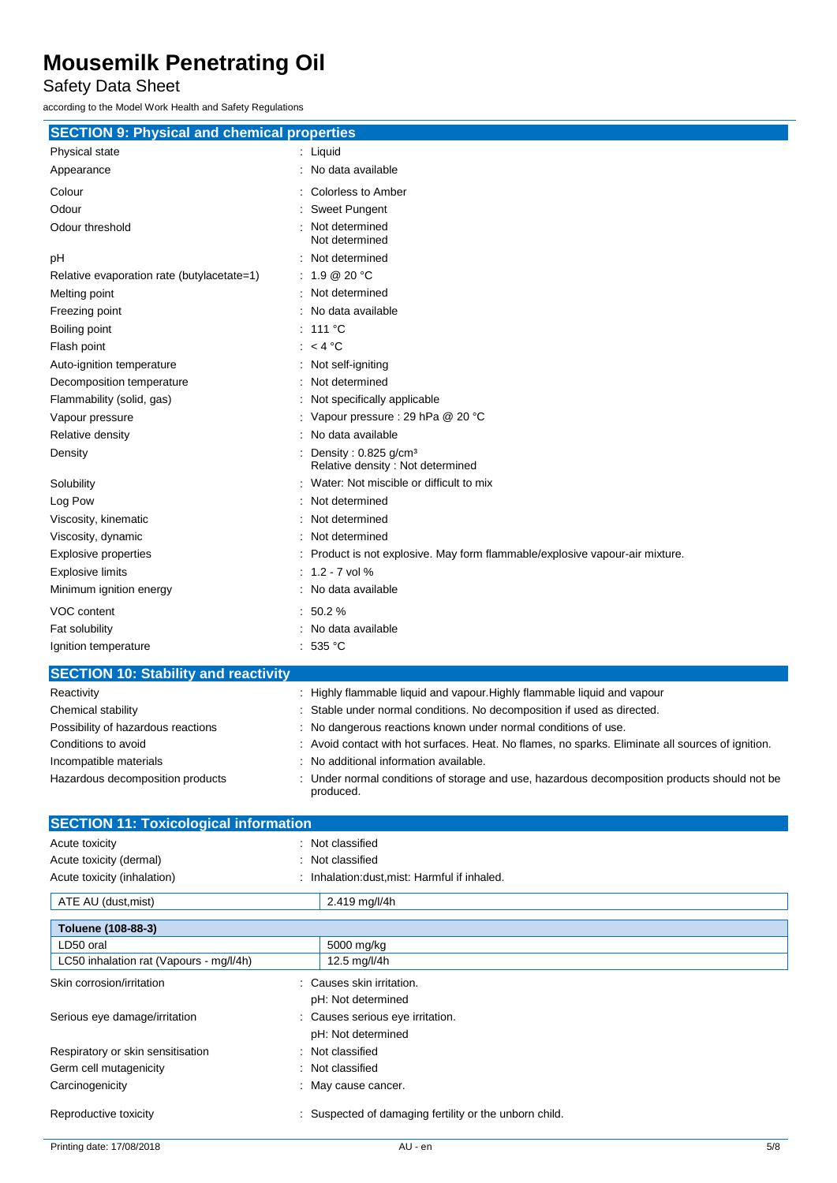Safety Data Sheet

according to the Model Work Health and Safety Regulations

| <b>SECTION 9: Physical and chemical properties</b> |           |                                                                            |
|----------------------------------------------------|-----------|----------------------------------------------------------------------------|
| Physical state                                     |           | Liquid                                                                     |
| Appearance                                         |           | No data available                                                          |
| Colour                                             |           | <b>Colorless to Amber</b>                                                  |
| Odour                                              |           | <b>Sweet Pungent</b>                                                       |
| Odour threshold                                    |           | Not determined<br>Not determined                                           |
| pH                                                 |           | Not determined                                                             |
| Relative evaporation rate (butylacetate=1)         |           | 1.9 @ 20 °C                                                                |
| Melting point                                      |           | Not determined                                                             |
| Freezing point                                     | ٠         | No data available                                                          |
| Boiling point                                      |           | 111 $\degree$ C                                                            |
| Flash point                                        |           | $<$ 4 °C                                                                   |
| Auto-ignition temperature                          |           | Not self-igniting                                                          |
| Decomposition temperature                          |           | Not determined                                                             |
| Flammability (solid, gas)                          |           | Not specifically applicable                                                |
| Vapour pressure                                    |           | Vapour pressure : 29 hPa @ 20 °C                                           |
| Relative density                                   | $\bullet$ | No data available                                                          |
| Density                                            |           | Density: 0.825 g/cm <sup>3</sup><br>Relative density: Not determined       |
| Solubility                                         |           | Water: Not miscible or difficult to mix                                    |
| Log Pow                                            |           | Not determined                                                             |
| Viscosity, kinematic                               |           | Not determined                                                             |
| Viscosity, dynamic                                 |           | Not determined                                                             |
| <b>Explosive properties</b>                        |           | Product is not explosive. May form flammable/explosive vapour-air mixture. |
| <b>Explosive limits</b>                            |           | $1.2 - 7$ vol %                                                            |
| Minimum ignition energy                            |           | No data available                                                          |
| VOC content                                        | ÷         | 50.2%                                                                      |
| Fat solubility                                     |           | No data available                                                          |
| Ignition temperature                               |           | : 535 °C                                                                   |

## **SECTION 10: Stability and reactivity**

| Reactivity                         | : Highly flammable liquid and vapour. Highly flammable liquid and vapour                                |
|------------------------------------|---------------------------------------------------------------------------------------------------------|
| Chemical stability                 | : Stable under normal conditions. No decomposition if used as directed.                                 |
| Possibility of hazardous reactions | : No dangerous reactions known under normal conditions of use.                                          |
| Conditions to avoid                | : Avoid contact with hot surfaces. Heat. No flames, no sparks. Eliminate all sources of ignition.       |
| Incompatible materials             | : No additional information available.                                                                  |
| Hazardous decomposition products   | Under normal conditions of storage and use, hazardous decomposition products should not be<br>produced. |

| <b>SECTION 11: Toxicological information</b> |                                                      |
|----------------------------------------------|------------------------------------------------------|
| Acute toxicity                               | : Not classified                                     |
| Acute toxicity (dermal)                      | Not classified<br>÷                                  |
| Acute toxicity (inhalation)                  | Inhalation: dust, mist: Harmful if inhaled.          |
| ATE AU (dust, mist)                          | 2.419 mg/l/4h                                        |
| Toluene (108-88-3)                           |                                                      |
| LD50 oral                                    | 5000 mg/kg                                           |
| LC50 inhalation rat (Vapours - mg/l/4h)      | 12.5 mg/l/4h                                         |
| Skin corrosion/irritation                    | Causes skin irritation.<br>÷                         |
|                                              | pH: Not determined                                   |
| Serious eye damage/irritation                | Causes serious eye irritation.<br>÷                  |
|                                              | pH: Not determined                                   |
| Respiratory or skin sensitisation            | : Not classified                                     |
| Germ cell mutagenicity                       | : Not classified                                     |
| Carcinogenicity                              | May cause cancer.                                    |
| Reproductive toxicity                        | Suspected of damaging fertility or the unborn child. |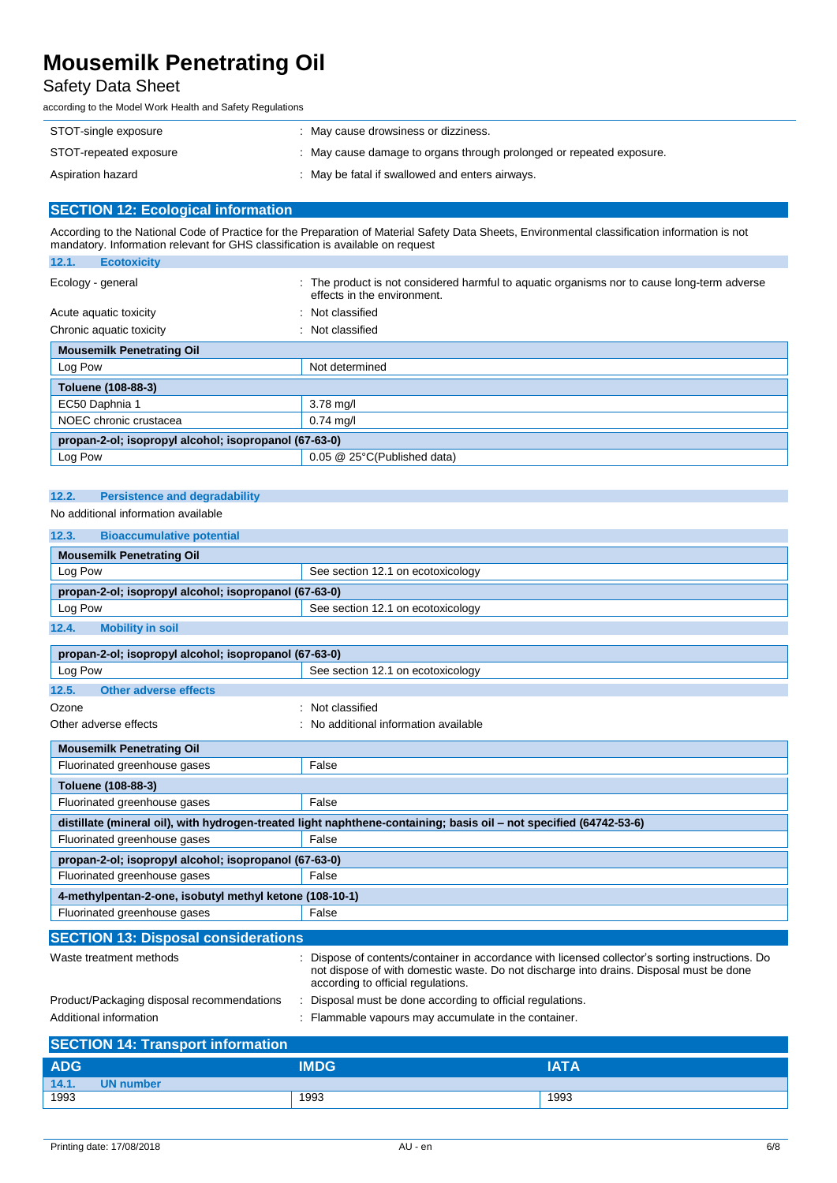## Safety Data Sheet

according to the Model Work Health and Safety Regulations

| STOT-single exposure   | May cause drowsiness or dizziness.                                   |
|------------------------|----------------------------------------------------------------------|
| STOT-repeated exposure | : May cause damage to organs through prolonged or repeated exposure. |
| Aspiration hazard      | : May be fatal if swallowed and enters airways.                      |

## **SECTION 12: Ecological information**

According to the National Code of Practice for the Preparation of Material Safety Data Sheets, Environmental classification information is not mandatory. Information relevant for GHS classification is available on request

| 12.1.<br><b>Ecotoxicity</b>                           |                                                                                                                               |  |  |
|-------------------------------------------------------|-------------------------------------------------------------------------------------------------------------------------------|--|--|
| Ecology - general                                     | The product is not considered harmful to aguatic organisms nor to cause long-term adverse<br>÷<br>effects in the environment. |  |  |
| Acute aquatic toxicity                                | : Not classified                                                                                                              |  |  |
| Chronic aquatic toxicity                              | : Not classified                                                                                                              |  |  |
| <b>Mousemilk Penetrating Oil</b>                      |                                                                                                                               |  |  |
| Log Pow                                               | Not determined                                                                                                                |  |  |
| Toluene (108-88-3)                                    |                                                                                                                               |  |  |
| EC50 Daphnia 1                                        | $3.78$ mg/l                                                                                                                   |  |  |
| NOEC chronic crustacea                                | $0.74$ mg/l                                                                                                                   |  |  |
| propan-2-ol; isopropyl alcohol; isopropanol (67-63-0) |                                                                                                                               |  |  |
| Log Pow                                               | 0.05 @ 25°C(Published data)                                                                                                   |  |  |
|                                                       |                                                                                                                               |  |  |

#### **12.2. Persistence and degradability** No additional information available

| 12.3.<br><b>Bioaccumulative potential</b>             |                                   |  |
|-------------------------------------------------------|-----------------------------------|--|
| <b>Mousemilk Penetrating Oil</b>                      |                                   |  |
| Log Pow                                               | See section 12.1 on ecotoxicology |  |
| propan-2-ol; isopropyl alcohol; isopropanol (67-63-0) |                                   |  |
| Log Pow                                               | See section 12.1 on ecotoxicology |  |
| 12.4.<br><b>Mobility in soil</b>                      |                                   |  |
|                                                       |                                   |  |
| propan-2-ol; isopropyl alcohol; isopropanol (67-63-0) |                                   |  |
| Log Pow                                               | See section 12.1 on ecotoxicology |  |

| 12.5.<br><b>Other adverse effects</b>                   |                                                                                                                                                                                                                                 |  |  |  |  |  |
|---------------------------------------------------------|---------------------------------------------------------------------------------------------------------------------------------------------------------------------------------------------------------------------------------|--|--|--|--|--|
| Ozone                                                   | Not classified                                                                                                                                                                                                                  |  |  |  |  |  |
| Other adverse effects                                   | No additional information available                                                                                                                                                                                             |  |  |  |  |  |
| <b>Mousemilk Penetrating Oil</b>                        |                                                                                                                                                                                                                                 |  |  |  |  |  |
| Fluorinated greenhouse gases                            | False                                                                                                                                                                                                                           |  |  |  |  |  |
| Toluene (108-88-3)                                      |                                                                                                                                                                                                                                 |  |  |  |  |  |
| Fluorinated greenhouse gases                            | False                                                                                                                                                                                                                           |  |  |  |  |  |
|                                                         | distillate (mineral oil), with hydrogen-treated light naphthene-containing; basis oil – not specified (64742-53-6)                                                                                                              |  |  |  |  |  |
| Fluorinated greenhouse gases                            | False                                                                                                                                                                                                                           |  |  |  |  |  |
| propan-2-ol; isopropyl alcohol; isopropanol (67-63-0)   |                                                                                                                                                                                                                                 |  |  |  |  |  |
| Fluorinated greenhouse gases<br>False                   |                                                                                                                                                                                                                                 |  |  |  |  |  |
| 4-methylpentan-2-one, isobutyl methyl ketone (108-10-1) |                                                                                                                                                                                                                                 |  |  |  |  |  |
| Fluorinated greenhouse gases                            | False                                                                                                                                                                                                                           |  |  |  |  |  |
| <b>SECTION 13: Disposal considerations</b>              |                                                                                                                                                                                                                                 |  |  |  |  |  |
| Waste treatment methods                                 | Dispose of contents/container in accordance with licensed collector's sorting instructions. Do<br>not dispose of with domestic waste. Do not discharge into drains. Disposal must be done<br>according to official regulations. |  |  |  |  |  |
| Product/Packaging disposal recommendations              | Disposal must be done according to official regulations.                                                                                                                                                                        |  |  |  |  |  |

| Additional information |  |  | : Flammable vapours may accumulate in the container. |  |
|------------------------|--|--|------------------------------------------------------|--|
|                        |  |  |                                                      |  |

| <b>SECTION 14: Transport information</b> |                  |             |             |
|------------------------------------------|------------------|-------------|-------------|
| <b>ADG</b>                               |                  | <b>IMDG</b> | <b>IATA</b> |
| 14.1.                                    | <b>UN number</b> |             |             |
| 1993                                     |                  | 1993        | 1993        |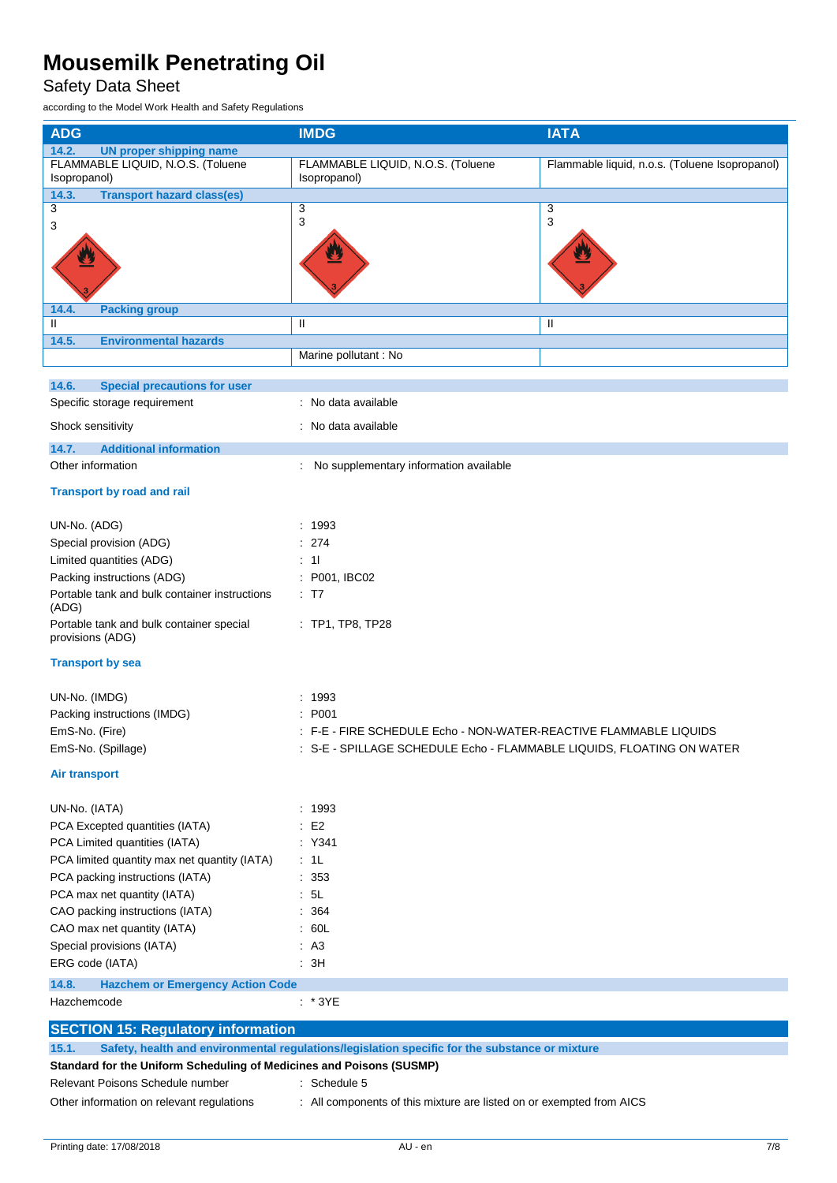## Safety Data Sheet

according to the Model Work Health and Safety Regulations

| <b>ADG</b>                                                           | <b>IMDG</b>                                                                                    | <b>IATA</b>                                    |
|----------------------------------------------------------------------|------------------------------------------------------------------------------------------------|------------------------------------------------|
| 14.2.<br><b>UN proper shipping name</b>                              |                                                                                                |                                                |
| FLAMMABLE LIQUID, N.O.S. (Toluene                                    | FLAMMABLE LIQUID, N.O.S. (Toluene                                                              | Flammable liquid, n.o.s. (Toluene Isopropanol) |
| Isopropanol)                                                         | Isopropanol)                                                                                   |                                                |
| <b>Transport hazard class(es)</b><br>14.3.                           |                                                                                                |                                                |
| 3                                                                    | 3<br>3                                                                                         | 3<br>3                                         |
| 3                                                                    |                                                                                                |                                                |
|                                                                      |                                                                                                |                                                |
|                                                                      |                                                                                                |                                                |
|                                                                      |                                                                                                |                                                |
|                                                                      |                                                                                                |                                                |
| <b>Packing group</b><br>14.4.<br>Ш                                   | Ш                                                                                              | Ш                                              |
|                                                                      |                                                                                                |                                                |
| 14.5.<br><b>Environmental hazards</b>                                | Marine pollutant : No                                                                          |                                                |
|                                                                      |                                                                                                |                                                |
| 14.6.<br><b>Special precautions for user</b>                         |                                                                                                |                                                |
| Specific storage requirement                                         | : No data available                                                                            |                                                |
|                                                                      | : No data available                                                                            |                                                |
| Shock sensitivity                                                    |                                                                                                |                                                |
| 14.7.<br><b>Additional information</b>                               |                                                                                                |                                                |
| Other information                                                    | No supplementary information available                                                         |                                                |
| <b>Transport by road and rail</b>                                    |                                                                                                |                                                |
|                                                                      |                                                                                                |                                                |
| UN-No. (ADG)                                                         | : 1993                                                                                         |                                                |
| Special provision (ADG)                                              | : 274                                                                                          |                                                |
| Limited quantities (ADG)                                             | $\therefore$ 11                                                                                |                                                |
| Packing instructions (ADG)                                           | : P001, IBC02                                                                                  |                                                |
| Portable tank and bulk container instructions                        | $\div$ T7                                                                                      |                                                |
| (ADG)                                                                |                                                                                                |                                                |
| Portable tank and bulk container special<br>provisions (ADG)         | $:$ TP1, TP8, TP28                                                                             |                                                |
|                                                                      |                                                                                                |                                                |
| <b>Transport by sea</b>                                              |                                                                                                |                                                |
|                                                                      |                                                                                                |                                                |
| UN-No. (IMDG)                                                        | : 1993                                                                                         |                                                |
| Packing instructions (IMDG)                                          | : P <sub>001</sub>                                                                             |                                                |
| EmS-No. (Fire)                                                       | : F-E - FIRE SCHEDULE Echo - NON-WATER-REACTIVE FLAMMABLE LIQUIDS                              |                                                |
| EmS-No. (Spillage)                                                   | : S-E - SPILLAGE SCHEDULE Echo - FLAMMABLE LIQUIDS, FLOATING ON WATER                          |                                                |
| <b>Air transport</b>                                                 |                                                                                                |                                                |
|                                                                      |                                                                                                |                                                |
| UN-No. (IATA)                                                        | : 1993                                                                                         |                                                |
| PCA Excepted quantities (IATA)                                       | $\therefore$ E2                                                                                |                                                |
| PCA Limited quantities (IATA)                                        | : Y341                                                                                         |                                                |
| PCA limited quantity max net quantity (IATA)                         | $\cdot$ 1L                                                                                     |                                                |
| PCA packing instructions (IATA)                                      | : 353                                                                                          |                                                |
| PCA max net quantity (IATA)                                          | .5L                                                                                            |                                                |
| CAO packing instructions (IATA)                                      | : 364                                                                                          |                                                |
| CAO max net quantity (IATA)                                          | : 60L                                                                                          |                                                |
| Special provisions (IATA)                                            | AA3                                                                                            |                                                |
| ERG code (IATA)                                                      | : 3H                                                                                           |                                                |
| 14.8.<br><b>Hazchem or Emergency Action Code</b>                     |                                                                                                |                                                |
| Hazchemcode                                                          | $:$ *3YE                                                                                       |                                                |
|                                                                      |                                                                                                |                                                |
| <b>SECTION 15: Regulatory information</b>                            |                                                                                                |                                                |
| 15.1.                                                                | Safety, health and environmental regulations/legislation specific for the substance or mixture |                                                |
| Standard for the Uniform Scheduling of Medicines and Poisons (SUSMP) |                                                                                                |                                                |
| Relevant Poisons Schedule number                                     | : Schedule 5                                                                                   |                                                |
| Other information on relevant regulations                            | : All components of this mixture are listed on or exempted from AICS                           |                                                |
|                                                                      |                                                                                                |                                                |